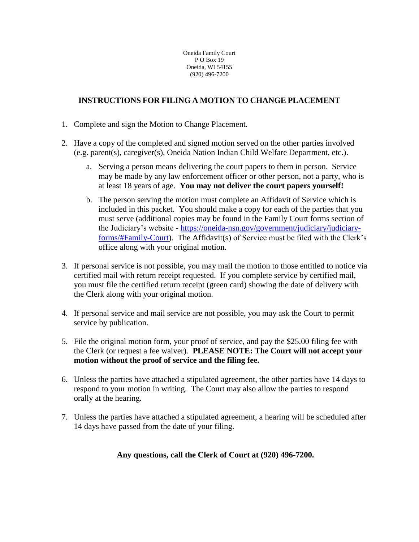# **INSTRUCTIONS FOR FILING A MOTION TO CHANGE PLACEMENT**

- 1. Complete and sign the Motion to Change Placement.
- 2. Have a copy of the completed and signed motion served on the other parties involved (e.g. parent(s), caregiver(s), Oneida Nation Indian Child Welfare Department, etc.).
	- a. Serving a person means delivering the court papers to them in person. Service may be made by any law enforcement officer or other person, not a party, who is at least 18 years of age. **You may not deliver the court papers yourself!**
	- b. The person serving the motion must complete an Affidavit of Service which is included in this packet. You should make a copy for each of the parties that you must serve (additional copies may be found in the Family Court forms section of the Judiciary's website - [https://oneida-nsn.gov/government/judiciary/judiciary](https://oneida-nsn.gov/government/judiciary/judiciary-forms/#Family-Court)[forms/#Family-Court\)](https://oneida-nsn.gov/government/judiciary/judiciary-forms/#Family-Court). The Affidavit(s) of Service must be filed with the Clerk's office along with your original motion.
- 3. If personal service is not possible, you may mail the motion to those entitled to notice via certified mail with return receipt requested. If you complete service by certified mail, you must file the certified return receipt (green card) showing the date of delivery with the Clerk along with your original motion.
- 4. If personal service and mail service are not possible, you may ask the Court to permit service by publication.
- 5. File the original motion form, your proof of service, and pay the \$25.00 filing fee with the Clerk (or request a fee waiver). **PLEASE NOTE: The Court will not accept your motion without the proof of service and the filing fee.**
- 6. Unless the parties have attached a stipulated agreement, the other parties have 14 days to respond to your motion in writing. The Court may also allow the parties to respond orally at the hearing.
- 7. Unless the parties have attached a stipulated agreement, a hearing will be scheduled after 14 days have passed from the date of your filing.

## **Any questions, call the Clerk of Court at (920) 496-7200.**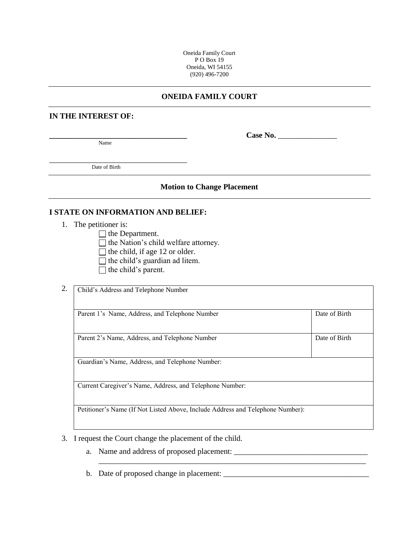### **ONEIDA FAMILY COURT**

#### **IN THE INTEREST OF:**

Name

 $Case No.$ 

Date of Birth

\_\_\_\_\_\_\_\_\_\_\_\_\_\_\_\_\_\_\_\_\_\_\_\_\_\_\_\_\_\_\_\_\_\_\_

#### **Motion to Change Placement**

## **I STATE ON INFORMATION AND BELIEF:**

- 1. The petitioner is:
	- $\Box$  the Department.
	- $\Box$  the Nation's child welfare attorney.
	- $\Box$  the child, if age 12 or older.
	- $\Box$  the child's guardian ad litem.
	- $\Box$  the child's parent.

| Parent 1's Name, Address, and Telephone Number           | Date of Birth |  |
|----------------------------------------------------------|---------------|--|
| Parent 2's Name, Address, and Telephone Number           | Date of Birth |  |
| Guardian's Name, Address, and Telephone Number:          |               |  |
| Current Caregiver's Name, Address, and Telephone Number: |               |  |

- 3. I request the Court change the placement of the child.
	- a. Name and address of proposed placement: \_\_\_\_\_\_\_\_\_\_\_\_\_\_\_\_\_\_\_\_\_\_\_\_\_\_\_\_\_\_\_\_\_\_
	- b. Date of proposed change in placement: \_\_\_\_\_\_\_\_\_\_\_\_\_\_\_\_\_\_\_\_\_\_\_\_\_\_\_\_\_\_\_\_\_\_\_\_\_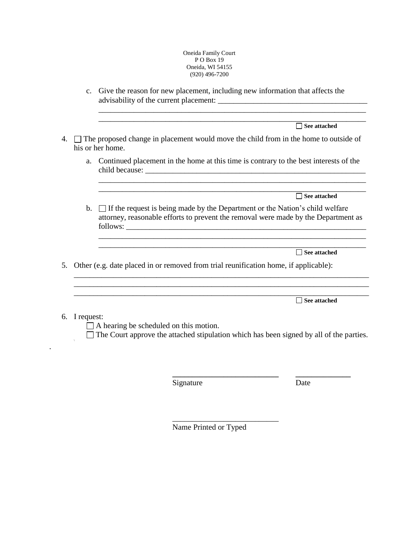c. Give the reason for new placement, including new information that affects the advisability of the current placement: \_\_\_\_\_\_\_\_\_\_\_\_\_\_\_\_\_\_\_\_\_\_\_\_\_\_\_\_\_\_\_\_\_\_\_\_\_\_

|    |                | See attached                                                                                                                                                         |
|----|----------------|----------------------------------------------------------------------------------------------------------------------------------------------------------------------|
| 4. |                | $\Box$ The proposed change in placement would move the child from in the home to outside of<br>his or her home.                                                      |
|    | a.             | Continued placement in the home at this time is contrary to the best interests of the                                                                                |
|    |                | See attached                                                                                                                                                         |
|    | $\mathbf{b}$ . | □ If the request is being made by the Department or the Nation's child welfare<br>attorney, reasonable efforts to prevent the removal were made by the Department as |
|    |                | See attached                                                                                                                                                         |
| 5. |                | Other (e.g. date placed in or removed from trial reunification home, if applicable):                                                                                 |
|    |                | <b>See attached</b>                                                                                                                                                  |
| 6. | I request:     | A hearing be scheduled on this motion.<br>The Court approve the attached stipulation which has been signed by all of the parties.                                    |
|    |                | Signature<br>Date                                                                                                                                                    |

Name Printed or Typed

\_\_\_\_\_\_\_\_\_\_\_\_\_\_\_\_\_\_\_\_\_\_\_\_\_\_\_

.